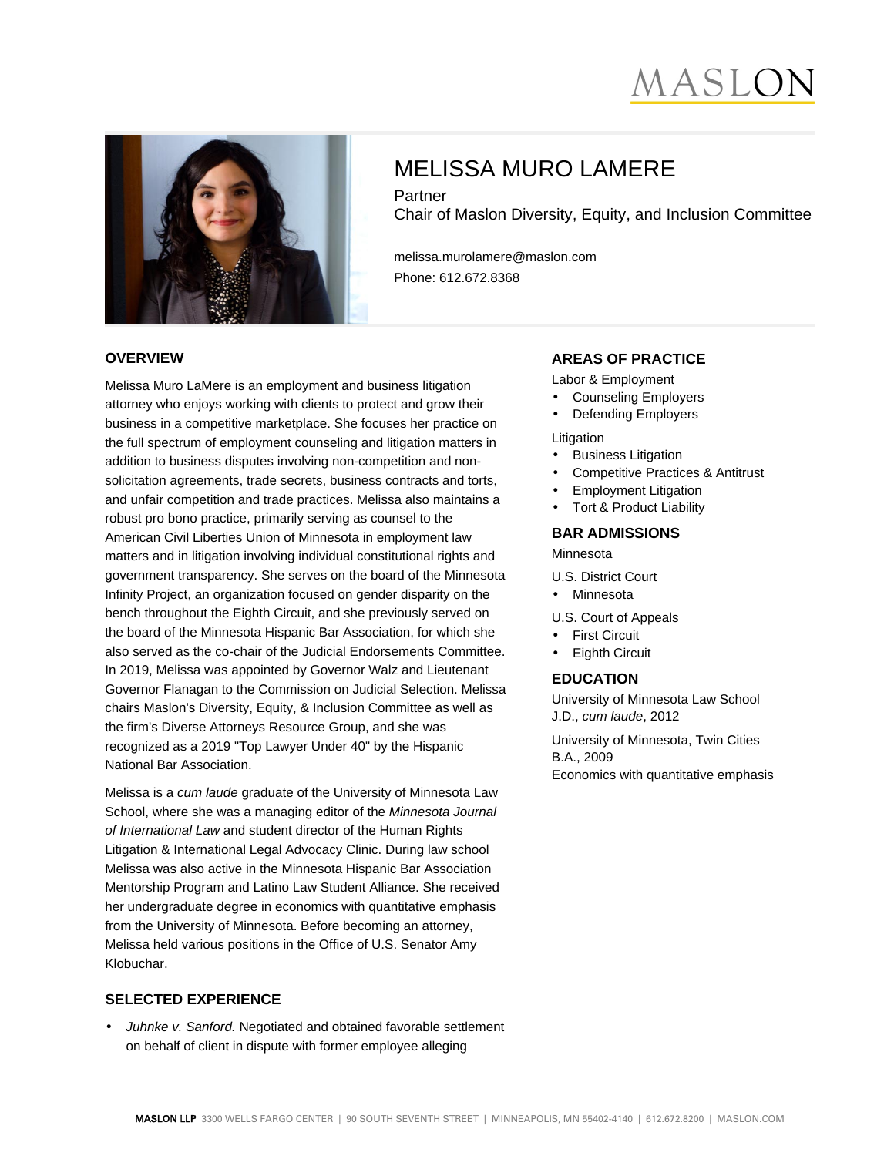# MASLO



# MELISSA MURO LAMERE

Partner Chair of Maslon Diversity, Equity, and Inclusion Committee

melissa.murolamere@maslon.com Phone: 612.672.8368

#### **OVERVIEW**

Melissa Muro LaMere is an employment and business litigation attorney who enjoys working with clients to protect and grow their business in a competitive marketplace. She focuses her practice on the full spectrum of employment counseling and litigation matters in addition to business disputes involving non-competition and nonsolicitation agreements, trade secrets, business contracts and torts, and unfair competition and trade practices. Melissa also maintains a robust pro bono practice, primarily serving as counsel to the American Civil Liberties Union of Minnesota in employment law matters and in litigation involving individual constitutional rights and government transparency. She serves on the board of the Minnesota Infinity Project, an organization focused on gender disparity on the bench throughout the Eighth Circuit, and she previously served on the board of the Minnesota Hispanic Bar Association, for which she also served as the co-chair of the Judicial Endorsements Committee. In 2019, Melissa was appointed by Governor Walz and Lieutenant Governor Flanagan to the Commission on Judicial Selection. Melissa chairs Maslon's Diversity, Equity, & Inclusion Committee as well as the firm's Diverse Attorneys Resource Group, and she was recognized as a 2019 "Top Lawyer Under 40" by the Hispanic National Bar Association.

Melissa is a cum laude graduate of the University of Minnesota Law School, where she was a managing editor of the Minnesota Journal of International Law and student director of the Human Rights Litigation & International Legal Advocacy Clinic. During law school Melissa was also active in the Minnesota Hispanic Bar Association Mentorship Program and Latino Law Student Alliance. She received her undergraduate degree in economics with quantitative emphasis from the University of Minnesota. Before becoming an attorney, Melissa held various positions in the Office of U.S. Senator Amy Klobuchar.

#### **SELECTED EXPERIENCE**

• Juhnke v. Sanford. Negotiated and obtained favorable settlement on behalf of client in dispute with former employee alleging

### **AREAS OF PRACTICE**

- Labor & Employment
- Counseling Employers
- Defending Employers

#### Litigation

- Business Litigation
- Competitive Practices & Antitrust
- Employment Litigation
- Tort & Product Liability

#### **BAR ADMISSIONS**

Minnesota

- U.S. District Court
- Minnesota

#### U.S. Court of Appeals

- First Circuit
- Eighth Circuit

## **EDUCATION**

University of Minnesota Law School J.D., cum laude, 2012

University of Minnesota, Twin Cities B.A., 2009 Economics with quantitative emphasis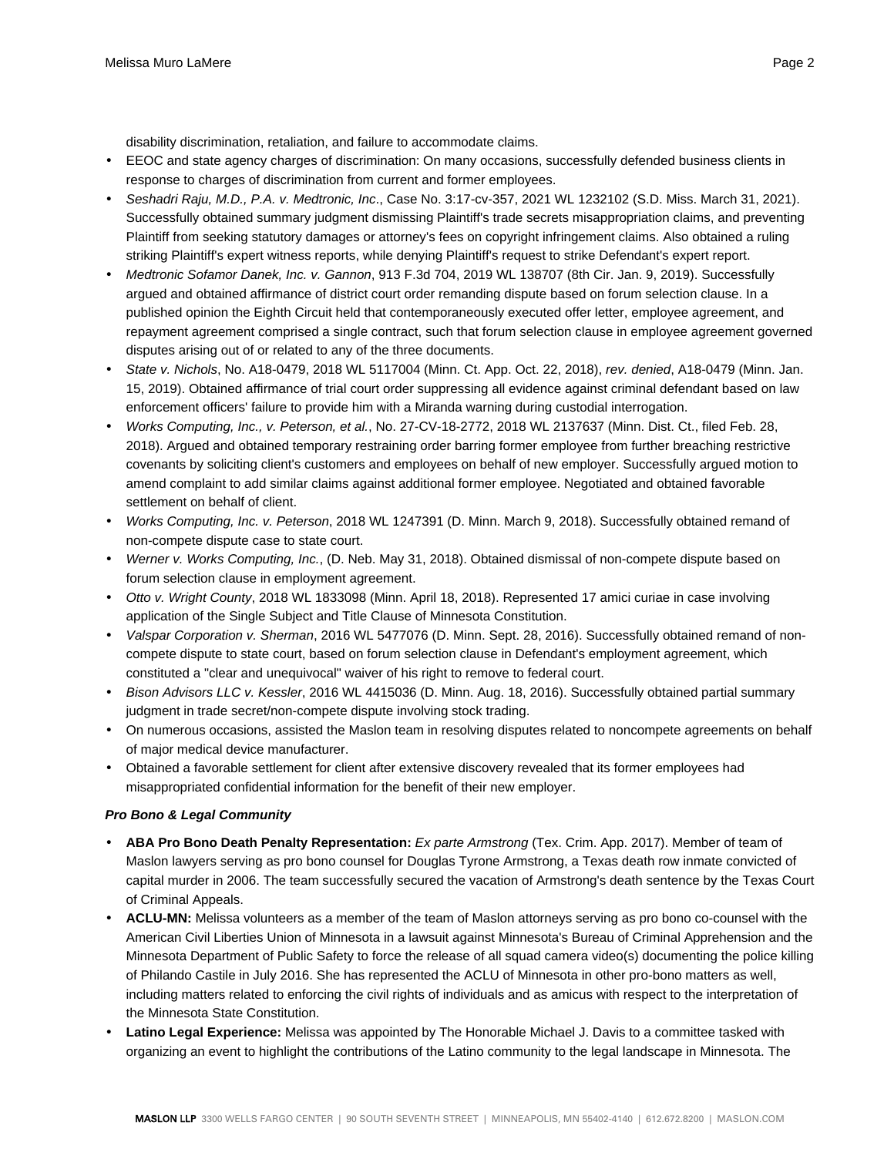disability discrimination, retaliation, and failure to accommodate claims.

- EEOC and state agency charges of discrimination: On many occasions, successfully defended business clients in response to charges of discrimination from current and former employees.
- Seshadri Raju, M.D., P.A. v. Medtronic, Inc., Case No. 3:17-cv-357, 2021 WL 1232102 (S.D. Miss. March 31, 2021). Successfully obtained summary judgment dismissing Plaintiff's trade secrets misappropriation claims, and preventing Plaintiff from seeking statutory damages or attorney's fees on copyright infringement claims. Also obtained a ruling striking Plaintiff's expert witness reports, while denying Plaintiff's request to strike Defendant's expert report.
- Medtronic Sofamor Danek, Inc. v. Gannon, 913 F.3d 704, 2019 WL 138707 (8th Cir. Jan. 9, 2019). Successfully argued and obtained affirmance of district court order remanding dispute based on forum selection clause. In a published opinion the Eighth Circuit held that contemporaneously executed offer letter, employee agreement, and repayment agreement comprised a single contract, such that forum selection clause in employee agreement governed disputes arising out of or related to any of the three documents.
- State v. Nichols, No. A18-0479, 2018 WL 5117004 (Minn. Ct. App. Oct. 22, 2018), rev. denied, A18-0479 (Minn. Jan. 15, 2019). Obtained affirmance of trial court order suppressing all evidence against criminal defendant based on law enforcement officers' failure to provide him with a Miranda warning during custodial interrogation.
- Works Computing, Inc., v. Peterson, et al., No. 27-CV-18-2772, 2018 WL 2137637 (Minn. Dist. Ct., filed Feb. 28, 2018). Argued and obtained temporary restraining order barring former employee from further breaching restrictive covenants by soliciting client's customers and employees on behalf of new employer. Successfully argued motion to amend complaint to add similar claims against additional former employee. Negotiated and obtained favorable settlement on behalf of client.
- Works Computing, Inc. v. Peterson, 2018 WL 1247391 (D. Minn. March 9, 2018). Successfully obtained remand of non-compete dispute case to state court.
- Werner v. Works Computing, Inc., (D. Neb. May 31, 2018). Obtained dismissal of non-compete dispute based on forum selection clause in employment agreement.
- Otto v. Wright County, 2018 WL 1833098 (Minn. April 18, 2018). Represented 17 amici curiae in case involving application of the Single Subject and Title Clause of Minnesota Constitution.
- Valspar Corporation v. Sherman, 2016 WL 5477076 (D. Minn. Sept. 28, 2016). Successfully obtained remand of noncompete dispute to state court, based on forum selection clause in Defendant's employment agreement, which constituted a "clear and unequivocal" waiver of his right to remove to federal court.
- Bison Advisors LLC v. Kessler, 2016 WL 4415036 (D. Minn. Aug. 18, 2016). Successfully obtained partial summary judgment in trade secret/non-compete dispute involving stock trading.
- On numerous occasions, assisted the Maslon team in resolving disputes related to noncompete agreements on behalf of major medical device manufacturer.
- Obtained a favorable settlement for client after extensive discovery revealed that its former employees had misappropriated confidential information for the benefit of their new employer.

#### **Pro Bono & Legal Community**

- **ABA Pro Bono Death Penalty Representation:** Ex parte Armstrong (Tex. Crim. App. 2017). Member of team of Maslon lawyers serving as pro bono counsel for Douglas Tyrone Armstrong, a Texas death row inmate convicted of capital murder in 2006. The team successfully secured the vacation of Armstrong's death sentence by the Texas Court of Criminal Appeals.
- **ACLU-MN:** Melissa volunteers as a member of the team of Maslon attorneys serving as pro bono co-counsel with the American Civil Liberties Union of Minnesota in a lawsuit against Minnesota's Bureau of Criminal Apprehension and the Minnesota Department of Public Safety to force the release of all squad camera video(s) documenting the police killing of Philando Castile in July 2016. She has represented the ACLU of Minnesota in other pro-bono matters as well, including matters related to enforcing the civil rights of individuals and as amicus with respect to the interpretation of the Minnesota State Constitution.
- **Latino Legal Experience:** Melissa was appointed by The Honorable Michael J. Davis to a committee tasked with organizing an event to highlight the contributions of the Latino community to the legal landscape in Minnesota. The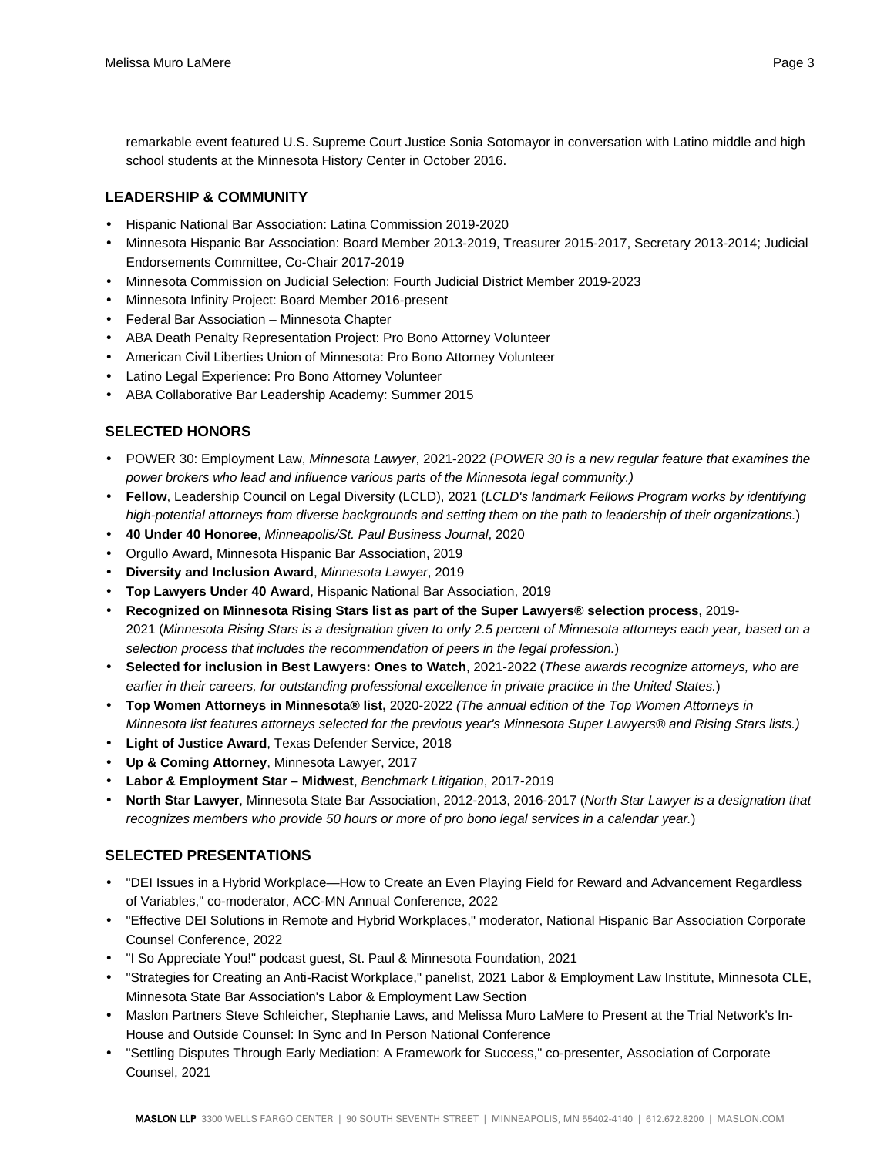remarkable event featured U.S. Supreme Court Justice Sonia Sotomayor in conversation with Latino middle and high school students at the Minnesota History Center in October 2016.

# **LEADERSHIP & COMMUNITY**

- Hispanic National Bar Association: Latina Commission 2019-2020
- Minnesota Hispanic Bar Association: Board Member 2013-2019, Treasurer 2015-2017, Secretary 2013-2014; Judicial Endorsements Committee, Co-Chair 2017-2019
- Minnesota Commission on Judicial Selection: Fourth Judicial District Member 2019-2023
- Minnesota Infinity Project: Board Member 2016-present
- Federal Bar Association Minnesota Chapter
- ABA Death Penalty Representation Project: Pro Bono Attorney Volunteer
- American Civil Liberties Union of Minnesota: Pro Bono Attorney Volunteer
- Latino Legal Experience: Pro Bono Attorney Volunteer
- ABA Collaborative Bar Leadership Academy: Summer 2015

# **SELECTED HONORS**

- POWER 30: Employment Law, Minnesota Lawyer, 2021-2022 (POWER 30 is a new regular feature that examines the power brokers who lead and influence various parts of the Minnesota legal community.)
- **Fellow**, Leadership Council on Legal Diversity (LCLD), 2021 (LCLD's landmark Fellows Program works by identifying high-potential attorneys from diverse backgrounds and setting them on the path to leadership of their organizations.)
- **40 Under 40 Honoree**, Minneapolis/St. Paul Business Journal, 2020
- Orgullo Award, Minnesota Hispanic Bar Association, 2019
- **Diversity and Inclusion Award**, Minnesota Lawyer, 2019
- **Top Lawyers Under 40 Award**, Hispanic National Bar Association, 2019
- **Recognized on Minnesota Rising Stars list as part of the Super Lawyers® selection process**, 2019- 2021 (Minnesota Rising Stars is a designation given to only 2.5 percent of Minnesota attorneys each year, based on a selection process that includes the recommendation of peers in the legal profession.)
- **Selected for inclusion in Best Lawyers: Ones to Watch**, 2021-2022 (These awards recognize attorneys, who are earlier in their careers, for outstanding professional excellence in private practice in the United States.)
- **Top Women Attorneys in Minnesota® list,** 2020-2022 (The annual edition of the Top Women Attorneys in Minnesota list features attorneys selected for the previous year's Minnesota Super Lawyers® and Rising Stars lists.)
- **Light of Justice Award**, Texas Defender Service, 2018
- **Up & Coming Attorney**, Minnesota Lawyer, 2017
- **Labor & Employment Star Midwest**, Benchmark Litigation, 2017-2019
- **North Star Lawyer**, Minnesota State Bar Association, 2012-2013, 2016-2017 (North Star Lawyer is a designation that recognizes members who provide 50 hours or more of pro bono legal services in a calendar year.)

# **SELECTED PRESENTATIONS**

- "DEI Issues in a Hybrid Workplace—How to Create an Even Playing Field for Reward and Advancement Regardless of Variables," co-moderator, ACC-MN Annual Conference, 2022
- "Effective DEI Solutions in Remote and Hybrid Workplaces," moderator, National Hispanic Bar Association Corporate Counsel Conference, 2022
- "I So Appreciate You!" podcast guest, St. Paul & Minnesota Foundation, 2021
- "Strategies for Creating an Anti-Racist Workplace," panelist, 2021 Labor & Employment Law Institute, Minnesota CLE, Minnesota State Bar Association's Labor & Employment Law Section
- Maslon Partners Steve Schleicher, Stephanie Laws, and Melissa Muro LaMere to Present at the Trial Network's In-House and Outside Counsel: In Sync and In Person National Conference
- "Settling Disputes Through Early Mediation: A Framework for Success," co-presenter, Association of Corporate Counsel, 2021